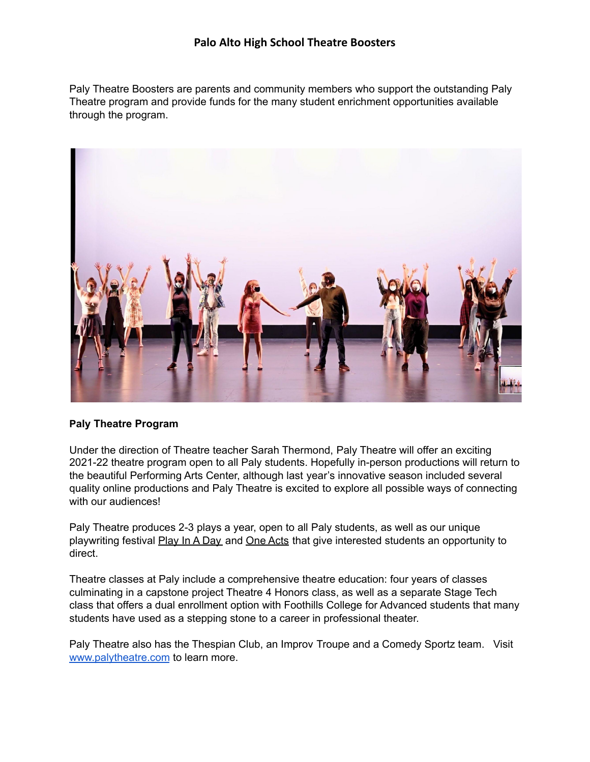## **Palo Alto High School Theatre Boosters**

Paly Theatre Boosters are parents and community members who support the outstanding Paly Theatre program and provide funds for the many student enrichment opportunities available through the program.



## **Paly Theatre Program**

Under the direction of Theatre teacher Sarah Thermond, Paly Theatre will offer an exciting 2021-22 theatre program open to all Paly students. Hopefully in-person productions will return to the beautiful Performing Arts Center, although last year's innovative season included several quality online productions and Paly Theatre is excited to explore all possible ways of connecting with our audiences!

Paly Theatre produces 2-3 plays a year, open to all Paly students, as well as our unique playwriting festival Play In A Day and One Acts that give interested students an opportunity to direct.

Theatre classes at Paly include a comprehensive theatre education: four years of classes culminating in a capstone project Theatre 4 Honors class, as well as a separate Stage Tech class that offers a dual enrollment option with Foothills College for Advanced students that many students have used as a stepping stone to a career in professional theater.

Paly Theatre also has the Thespian Club, an Improv Troupe and a Comedy Sportz team. Visit [www.palytheatre.com](https://www.palytheatre.com) to learn more.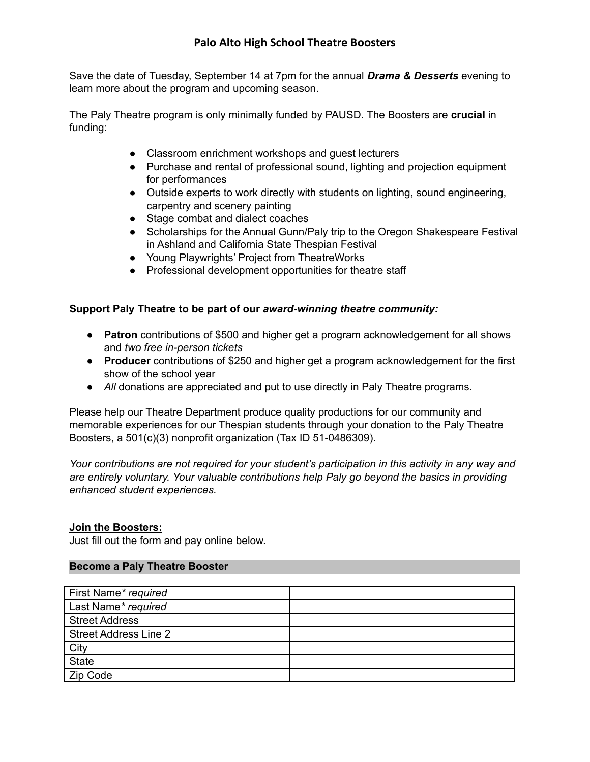# **Palo Alto High School Theatre Boosters**

Save the date of Tuesday, September 14 at 7pm for the annual *Drama & Desserts* evening to learn more about the program and upcoming season.

The Paly Theatre program is only minimally funded by PAUSD. The Boosters are **crucial** in funding:

- Classroom enrichment workshops and guest lecturers
- Purchase and rental of professional sound, lighting and projection equipment for performances
- Outside experts to work directly with students on lighting, sound engineering, carpentry and scenery painting
- Stage combat and dialect coaches
- Scholarships for the Annual Gunn/Paly trip to the Oregon Shakespeare Festival in Ashland and California State Thespian Festival
- Young Playwrights' Project from TheatreWorks
- Professional development opportunities for theatre staff

## **Support Paly Theatre to be part of our** *award-winning theatre community:*

- **Patron** contributions of \$500 and higher get a program acknowledgement for all shows and *two free in-person tickets*
- **Producer** contributions of \$250 and higher get a program acknowledgement for the first show of the school year
- *All* donations are appreciated and put to use directly in Paly Theatre programs.

Please help our Theatre Department produce quality productions for our community and memorable experiences for our Thespian students through your donation to the Paly Theatre Boosters, a 501(c)(3) nonprofit organization (Tax ID 51-0486309).

*Your contributions are not required for your student's participation in this activity in any way and are entirely voluntary. Your valuable contributions help Paly go beyond the basics in providing enhanced student experiences.*

## **Join the Boosters:**

Just fill out the form and pay online below.

#### **Become a Paly Theatre Booster**

| First Name* required         |  |
|------------------------------|--|
| Last Name* required          |  |
| <b>Street Address</b>        |  |
| <b>Street Address Line 2</b> |  |
| City                         |  |
| <b>State</b>                 |  |
| Zip Code                     |  |